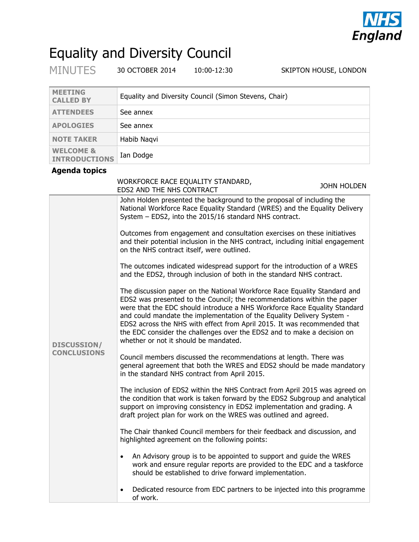

# Equality and Diversity Council

| <b>MINUTES</b>                               | 30 OCTOBER 2014                                                                                                                                                                                                                                                           | 10:00-12:30                                            | SKIPTON HOUSE, LONDON                                                                                                                                                                                                                                                                                                                                                                                                                                                                                                                                                                                                                                                                                                                                                                                                                                                                                                                                                                                                                                                                                                                                                                                                                                                                                                                                                                                                                                                                                                                                                                                                                                                                                              |
|----------------------------------------------|---------------------------------------------------------------------------------------------------------------------------------------------------------------------------------------------------------------------------------------------------------------------------|--------------------------------------------------------|--------------------------------------------------------------------------------------------------------------------------------------------------------------------------------------------------------------------------------------------------------------------------------------------------------------------------------------------------------------------------------------------------------------------------------------------------------------------------------------------------------------------------------------------------------------------------------------------------------------------------------------------------------------------------------------------------------------------------------------------------------------------------------------------------------------------------------------------------------------------------------------------------------------------------------------------------------------------------------------------------------------------------------------------------------------------------------------------------------------------------------------------------------------------------------------------------------------------------------------------------------------------------------------------------------------------------------------------------------------------------------------------------------------------------------------------------------------------------------------------------------------------------------------------------------------------------------------------------------------------------------------------------------------------------------------------------------------------|
| <b>MEETING</b><br><b>CALLED BY</b>           | Equality and Diversity Council (Simon Stevens, Chair)                                                                                                                                                                                                                     |                                                        |                                                                                                                                                                                                                                                                                                                                                                                                                                                                                                                                                                                                                                                                                                                                                                                                                                                                                                                                                                                                                                                                                                                                                                                                                                                                                                                                                                                                                                                                                                                                                                                                                                                                                                                    |
| <b>ATTENDEES</b>                             | See annex                                                                                                                                                                                                                                                                 |                                                        |                                                                                                                                                                                                                                                                                                                                                                                                                                                                                                                                                                                                                                                                                                                                                                                                                                                                                                                                                                                                                                                                                                                                                                                                                                                                                                                                                                                                                                                                                                                                                                                                                                                                                                                    |
| <b>APOLOGIES</b>                             | See annex                                                                                                                                                                                                                                                                 |                                                        |                                                                                                                                                                                                                                                                                                                                                                                                                                                                                                                                                                                                                                                                                                                                                                                                                                                                                                                                                                                                                                                                                                                                                                                                                                                                                                                                                                                                                                                                                                                                                                                                                                                                                                                    |
| <b>NOTE TAKER</b>                            | Habib Naqvi                                                                                                                                                                                                                                                               |                                                        |                                                                                                                                                                                                                                                                                                                                                                                                                                                                                                                                                                                                                                                                                                                                                                                                                                                                                                                                                                                                                                                                                                                                                                                                                                                                                                                                                                                                                                                                                                                                                                                                                                                                                                                    |
| <b>WELCOME &amp;</b><br><b>INTRODUCTIONS</b> | Ian Dodge                                                                                                                                                                                                                                                                 |                                                        |                                                                                                                                                                                                                                                                                                                                                                                                                                                                                                                                                                                                                                                                                                                                                                                                                                                                                                                                                                                                                                                                                                                                                                                                                                                                                                                                                                                                                                                                                                                                                                                                                                                                                                                    |
| <b>Agenda topics</b>                         |                                                                                                                                                                                                                                                                           |                                                        |                                                                                                                                                                                                                                                                                                                                                                                                                                                                                                                                                                                                                                                                                                                                                                                                                                                                                                                                                                                                                                                                                                                                                                                                                                                                                                                                                                                                                                                                                                                                                                                                                                                                                                                    |
|                                              | WORKFORCE RACE EQUALITY STANDARD,<br>EDS2 AND THE NHS CONTRACT                                                                                                                                                                                                            |                                                        | <b>JOHN HOLDEN</b>                                                                                                                                                                                                                                                                                                                                                                                                                                                                                                                                                                                                                                                                                                                                                                                                                                                                                                                                                                                                                                                                                                                                                                                                                                                                                                                                                                                                                                                                                                                                                                                                                                                                                                 |
| <b>DISCUSSION/</b><br><b>CONCLUSIONS</b>     | System - EDS2, into the 2015/16 standard NHS contract.<br>on the NHS contract itself, were outlined.<br>whether or not it should be mandated.<br>in the standard NHS contract from April 2015.<br>highlighted agreement on the following points:<br>$\bullet$<br>of work. | should be established to drive forward implementation. | John Holden presented the background to the proposal of including the<br>National Workforce Race Equality Standard (WRES) and the Equality Delivery<br>Outcomes from engagement and consultation exercises on these initiatives<br>and their potential inclusion in the NHS contract, including initial engagement<br>The outcomes indicated widespread support for the introduction of a WRES<br>and the EDS2, through inclusion of both in the standard NHS contract.<br>The discussion paper on the National Workforce Race Equality Standard and<br>EDS2 was presented to the Council; the recommendations within the paper<br>were that the EDC should introduce a NHS Workforce Race Equality Standard<br>and could mandate the implementation of the Equality Delivery System -<br>EDS2 across the NHS with effect from April 2015. It was recommended that<br>the EDC consider the challenges over the EDS2 and to make a decision on<br>Council members discussed the recommendations at length. There was<br>general agreement that both the WRES and EDS2 should be made mandatory<br>The inclusion of EDS2 within the NHS Contract from April 2015 was agreed on<br>the condition that work is taken forward by the EDS2 Subgroup and analytical<br>support on improving consistency in EDS2 implementation and grading. A<br>draft project plan for work on the WRES was outlined and agreed.<br>The Chair thanked Council members for their feedback and discussion, and<br>An Advisory group is to be appointed to support and guide the WRES<br>work and ensure regular reports are provided to the EDC and a taskforce<br>Dedicated resource from EDC partners to be injected into this programme |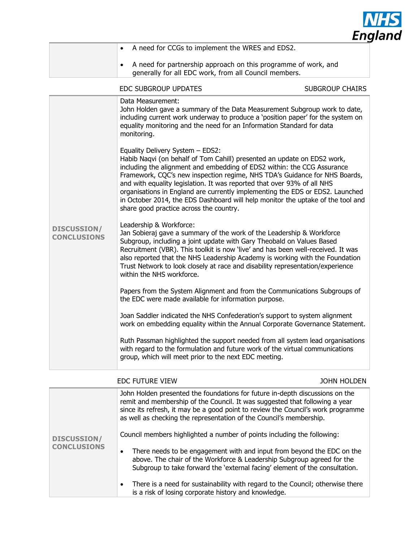

|                                          | A need for CCGs to implement the WRES and EDS2.<br>$\bullet$                                                                                                                                                                                                                                                                                                                                                                                                                                                                                                   |                        |  |
|------------------------------------------|----------------------------------------------------------------------------------------------------------------------------------------------------------------------------------------------------------------------------------------------------------------------------------------------------------------------------------------------------------------------------------------------------------------------------------------------------------------------------------------------------------------------------------------------------------------|------------------------|--|
|                                          | A need for partnership approach on this programme of work, and<br>$\bullet$<br>generally for all EDC work, from all Council members.                                                                                                                                                                                                                                                                                                                                                                                                                           |                        |  |
|                                          | <b>EDC SUBGROUP UPDATES</b>                                                                                                                                                                                                                                                                                                                                                                                                                                                                                                                                    | <b>SUBGROUP CHAIRS</b> |  |
|                                          | Data Measurement:<br>John Holden gave a summary of the Data Measurement Subgroup work to date,<br>including current work underway to produce a 'position paper' for the system on<br>equality monitoring and the need for an Information Standard for data<br>monitoring.                                                                                                                                                                                                                                                                                      |                        |  |
|                                          | Equality Delivery System - EDS2:<br>Habib Naqvi (on behalf of Tom Cahill) presented an update on EDS2 work,<br>including the alignment and embedding of EDS2 within: the CCG Assurance<br>Framework, CQC's new inspection regime, NHS TDA's Guidance for NHS Boards,<br>and with equality legislation. It was reported that over 93% of all NHS<br>organisations in England are currently implementing the EDS or EDS2. Launched<br>in October 2014, the EDS Dashboard will help monitor the uptake of the tool and<br>share good practice across the country. |                        |  |
| <b>DISCUSSION/</b><br><b>CONCLUSIONS</b> | Leadership & Workforce:<br>Jan Sobieraj gave a summary of the work of the Leadership & Workforce<br>Subgroup, including a joint update with Gary Theobald on Values Based<br>Recruitment (VBR). This toolkit is now 'live' and has been well-received. It was<br>also reported that the NHS Leadership Academy is working with the Foundation<br>Trust Network to look closely at race and disability representation/experience<br>within the NHS workforce.                                                                                                   |                        |  |
|                                          | Papers from the System Alignment and from the Communications Subgroups of<br>the EDC were made available for information purpose.                                                                                                                                                                                                                                                                                                                                                                                                                              |                        |  |
|                                          | Joan Saddler indicated the NHS Confederation's support to system alignment<br>work on embedding equality within the Annual Corporate Governance Statement.                                                                                                                                                                                                                                                                                                                                                                                                     |                        |  |
|                                          | Ruth Passman highlighted the support needed from all system lead organisations<br>with regard to the formulation and future work of the virtual communications<br>group, which will meet prior to the next EDC meeting.                                                                                                                                                                                                                                                                                                                                        |                        |  |

## EDC FUTURE VIEW **EDC** FUTURE VIEW

|                    | John Holden presented the foundations for future in-depth discussions on the<br>remit and membership of the Council. It was suggested that following a year<br>since its refresh, it may be a good point to review the Council's work programme<br>as well as checking the representation of the Council's membership.<br>Council members highlighted a number of points including the following: |
|--------------------|---------------------------------------------------------------------------------------------------------------------------------------------------------------------------------------------------------------------------------------------------------------------------------------------------------------------------------------------------------------------------------------------------|
| <b>DISCUSSION/</b> |                                                                                                                                                                                                                                                                                                                                                                                                   |
| <b>CONCLUSIONS</b> | There needs to be engagement with and input from beyond the EDC on the<br>٠<br>above. The chair of the Workforce & Leadership Subgroup agreed for the<br>Subgroup to take forward the 'external facing' element of the consultation.                                                                                                                                                              |
|                    | There is a need for sustainability with regard to the Council; otherwise there<br>$\bullet$<br>is a risk of losing corporate history and knowledge.                                                                                                                                                                                                                                               |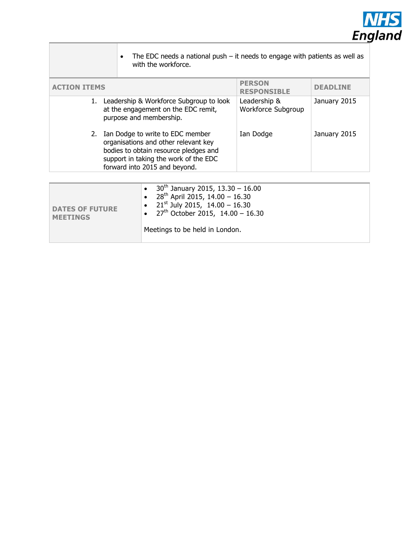

|                     | The EDC needs a national push $-$ it needs to engage with patients as well as<br>$\bullet$<br>with the workforce.                                                                              |                                     |                 |
|---------------------|------------------------------------------------------------------------------------------------------------------------------------------------------------------------------------------------|-------------------------------------|-----------------|
| <b>ACTION ITEMS</b> |                                                                                                                                                                                                | <b>PERSON</b><br><b>RESPONSIBLE</b> | <b>DEADLINE</b> |
| 1.                  | Leadership & Workforce Subgroup to look<br>at the engagement on the EDC remit,<br>purpose and membership.                                                                                      | Leadership &<br>Workforce Subgroup  | January 2015    |
|                     | 2. Ian Dodge to write to EDC member<br>organisations and other relevant key<br>bodies to obtain resource pledges and<br>support in taking the work of the EDC<br>forward into 2015 and beyond. | Ian Dodge                           | January 2015    |

| <b>DATES OF FUTURE</b><br><b>MEETINGS</b> | $30th$ January 2015, 13.30 - 16.00<br>$28th$ April 2015, 14.00 - 16.30<br>$21^{st}$ July 2015, 14.00 - 16.30<br>• $27th$ October 2015, 14.00 – 16.30 |
|-------------------------------------------|------------------------------------------------------------------------------------------------------------------------------------------------------|
|                                           | Meetings to be held in London.                                                                                                                       |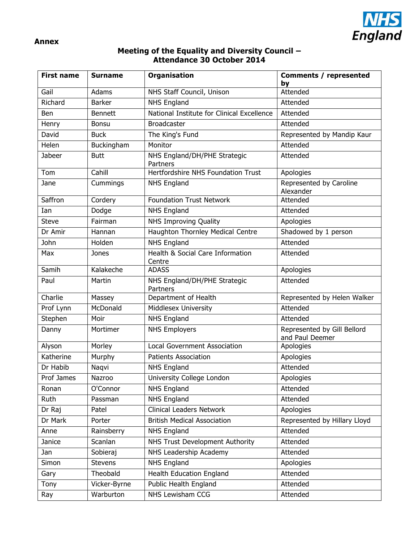

#### **Annex**

### **Meeting of the Equality and Diversity Council – Attendance 30 October 2014**

| <b>First name</b> | <b>Surname</b> | Organisation                               | Comments / represented<br>by                   |
|-------------------|----------------|--------------------------------------------|------------------------------------------------|
| Gail              | Adams          | NHS Staff Council, Unison                  | Attended                                       |
| Richard           | <b>Barker</b>  | <b>NHS England</b>                         | Attended                                       |
| Ben               | <b>Bennett</b> | National Institute for Clinical Excellence | Attended                                       |
| Henry             | <b>Bonsu</b>   | <b>Broadcaster</b>                         | Attended                                       |
| David             | <b>Buck</b>    | The King's Fund                            | Represented by Mandip Kaur                     |
| Helen             | Buckingham     | Monitor                                    | Attended                                       |
| Jabeer            | <b>Butt</b>    | NHS England/DH/PHE Strategic<br>Partners   | Attended                                       |
| Tom               | Cahill         | Hertfordshire NHS Foundation Trust         | Apologies                                      |
| Jane              | Cummings       | <b>NHS England</b>                         | Represented by Caroline<br>Alexander           |
| Saffron           | Cordery        | <b>Foundation Trust Network</b>            | Attended                                       |
| Ian               | Dodge          | <b>NHS England</b>                         | Attended                                       |
| <b>Steve</b>      | Fairman        | NHS Improving Quality                      | Apologies                                      |
| Dr Amir           | Hannan         | Haughton Thornley Medical Centre           | Shadowed by 1 person                           |
| John              | Holden         | <b>NHS England</b>                         | Attended                                       |
| Max               | Jones          | Health & Social Care Information<br>Centre | Attended                                       |
| Samih             | Kalakeche      | <b>ADASS</b>                               | Apologies                                      |
| Paul              | Martin         | NHS England/DH/PHE Strategic<br>Partners   | Attended                                       |
| Charlie           | Massey         | Department of Health                       | Represented by Helen Walker                    |
| Prof Lynn         | McDonald       | <b>Middlesex University</b>                | Attended                                       |
| Stephen           | Moir           | <b>NHS England</b>                         | Attended                                       |
| Danny             | Mortimer       | <b>NHS Employers</b>                       | Represented by Gill Bellord<br>and Paul Deemer |
| Alyson            | Morley         | <b>Local Government Association</b>        | Apologies                                      |
| Katherine         | Murphy         | <b>Patients Association</b>                | Apologies                                      |
| Dr Habib          | Naqvi          | NHS England                                | Attended                                       |
| Prof James        | Nazroo         | University College London                  | Apologies                                      |
| Ronan             | O'Connor       | <b>NHS England</b>                         | Attended                                       |
| Ruth              | Passman        | <b>NHS England</b>                         | Attended                                       |
| Dr Raj            | Patel          | <b>Clinical Leaders Network</b>            | Apologies                                      |
| Dr Mark           | Porter         | <b>British Medical Association</b>         | Represented by Hillary Lloyd                   |
| Anne              | Rainsberry     | <b>NHS England</b>                         | Attended                                       |
| Janice            | Scanlan        | NHS Trust Development Authority            | Attended                                       |
| Jan               | Sobieraj       | NHS Leadership Academy                     | Attended                                       |
| Simon             | Stevens        | <b>NHS England</b>                         | Apologies                                      |
| Gary              | Theobald       | Health Education England                   | Attended                                       |
| Tony              | Vicker-Byrne   | Public Health England                      | Attended                                       |
| Ray               | Warburton      | NHS Lewisham CCG                           | Attended                                       |